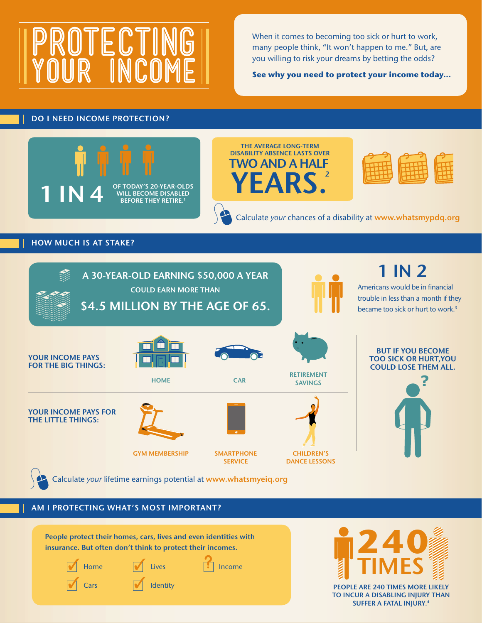# **PROTECTING YOUR INCOME**

When it comes to becoming too sick or hurt to work, many people think, "It won't happen to me." But, are you willing to risk your dreams by betting the odds?

**See why you need to protect your income today...**

# **DO I NEED INCOME PROTECTION?**







Calculate *your* chances of a disability at **www.whatsmypdq.org**

# **HOW MUCH IS AT STAKE?**



# **AM I PROTECTING WHAT'S MOST IMPORTANT?**





**PEOPLE ARE 240 TIMES MORE LIKELY TO INCUR A DISABLING INJURY THAN SUFFER A FATAL INJURY.4**